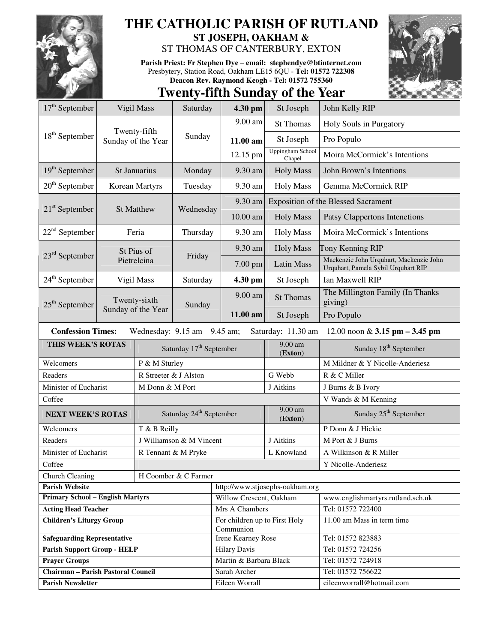

# **THE CATHOLIC PARISH OF RUTLAND ST JOSEPH, OAKHAM &**

# ST THOMAS OF CANTERBURY, EXTON

**Parish Priest: Fr Stephen Dye** – **email: stephendye@btinternet.com** Presbytery, Station Road, Oakham LE15 6QU - **Tel: 01572 722308 Deacon Rev. Raymond Keogh - Tel: 01572 755360** 



|                                                                                                                     |                                    | <b>Twenty-fifth Sunday of the Year</b> |                          |                                            |                                            |                                                                                |  |
|---------------------------------------------------------------------------------------------------------------------|------------------------------------|----------------------------------------|--------------------------|--------------------------------------------|--------------------------------------------|--------------------------------------------------------------------------------|--|
| $17th$ September                                                                                                    |                                    | Vigil Mass                             | Saturday                 | 4.30 pm                                    | St Joseph                                  | John Kelly RIP                                                                 |  |
|                                                                                                                     |                                    |                                        | Sunday                   | 9.00 am                                    | <b>St Thomas</b>                           | Holy Souls in Purgatory                                                        |  |
| $18th$ September                                                                                                    | Twenty-fifth<br>Sunday of the Year |                                        |                          | 11.00 am                                   | St Joseph                                  | Pro Populo                                                                     |  |
|                                                                                                                     |                                    |                                        |                          | 12.15 pm                                   | <b>Uppingham School</b><br>Chapel          | Moira McCormick's Intentions                                                   |  |
| $19th$ September                                                                                                    | St Januarius                       |                                        | Monday                   | 9.30 am                                    | <b>Holy Mass</b>                           | John Brown's Intentions                                                        |  |
| $20th$ September                                                                                                    | Korean Martyrs                     |                                        | Tuesday                  | 9.30 am                                    | <b>Holy Mass</b>                           | Gemma McCormick RIP                                                            |  |
|                                                                                                                     |                                    |                                        | Wednesday                | 9.30 am                                    | <b>Exposition of the Blessed Sacrament</b> |                                                                                |  |
| $21st$ September                                                                                                    | <b>St Matthew</b>                  |                                        |                          | $10.00$ am                                 | <b>Holy Mass</b>                           | Patsy Clappertons Intenetions                                                  |  |
| $22nd$ September                                                                                                    | Feria                              |                                        | Thursday                 | 9.30 am                                    | <b>Holy Mass</b>                           | Moira McCormick's Intentions                                                   |  |
|                                                                                                                     | St Pius of<br>Pietrelcina          |                                        | Friday                   | 9.30 am                                    | <b>Holy Mass</b>                           | Tony Kenning RIP                                                               |  |
| $23rd$ September                                                                                                    |                                    |                                        |                          | 7.00 pm                                    | <b>Latin Mass</b>                          | Mackenzie John Urquhart, Mackenzie John<br>Urquhart, Pamela Sybil Urquhart RIP |  |
| $24th$ September                                                                                                    | Vigil Mass                         |                                        | Saturday                 | 4.30 pm                                    | St Joseph                                  | Ian Maxwell RIP                                                                |  |
| $25th$ September                                                                                                    | Twenty-sixth<br>Sunday of the Year |                                        | Sunday                   | 9.00 am                                    | <b>St Thomas</b>                           | The Millington Family (In Thanks<br>giving)                                    |  |
|                                                                                                                     |                                    |                                        |                          | 11.00 am                                   | St Joseph                                  | Pro Populo                                                                     |  |
| <b>Confession Times:</b><br>Wednesday: $9.15$ am $-9.45$ am;<br>Saturday: 11.30 am - 12.00 noon & 3.15 pm - 3.45 pm |                                    |                                        |                          |                                            |                                            |                                                                                |  |
| THIS WEEK'S ROTAS<br>Saturday 17 <sup>th</sup> September                                                            |                                    |                                        |                          |                                            | 9.00 am<br>(Exton)                         | Sunday 18 <sup>th</sup> September                                              |  |
| Welcomers                                                                                                           |                                    | P & M Sturley                          |                          |                                            |                                            | M Mildner & Y Nicolle-Anderiesz                                                |  |
| Readers                                                                                                             |                                    | R Streeter & J Alston                  |                          |                                            | G Webb                                     | R & C Miller                                                                   |  |
| Minister of Eucharist                                                                                               |                                    | M Donn & M Port                        |                          |                                            | J Aitkins                                  | J Burns & B Ivory                                                              |  |
| Coffee                                                                                                              |                                    |                                        |                          |                                            |                                            | V Wands & M Kenning                                                            |  |
| <b>NEXT WEEK'S ROTAS</b>                                                                                            |                                    | Saturday 24 <sup>th</sup> September    |                          |                                            | 9.00 am<br>(Exton)                         | Sunday 25 <sup>th</sup> September                                              |  |
| Welcomers                                                                                                           |                                    | T & B Reilly                           |                          |                                            |                                            | P Donn & J Hickie                                                              |  |
| Readers                                                                                                             |                                    |                                        | J Williamson & M Vincent |                                            | J Aitkins                                  | M Port & J Burns                                                               |  |
| Minister of Eucharist                                                                                               |                                    | R Tennant & M Pryke                    |                          |                                            | L Knowland                                 | A Wilkinson & R Miller                                                         |  |
| Coffee                                                                                                              |                                    |                                        |                          |                                            |                                            | Y Nicolle-Anderiesz                                                            |  |
| H Coomber & C Farmer<br><b>Church Cleaning</b>                                                                      |                                    |                                        |                          |                                            |                                            |                                                                                |  |
| <b>Parish Website</b>                                                                                               |                                    |                                        |                          | http://www.stjosephs-oakham.org            |                                            |                                                                                |  |
| <b>Primary School - English Martyrs</b>                                                                             |                                    |                                        |                          | Willow Crescent, Oakham                    |                                            | www.englishmartyrs.rutland.sch.uk                                              |  |
| <b>Acting Head Teacher</b>                                                                                          |                                    |                                        |                          | Mrs A Chambers                             |                                            | Tel: 01572 722400                                                              |  |
| <b>Children's Liturgy Group</b>                                                                                     |                                    |                                        |                          | For children up to First Holy<br>Communion |                                            | 11.00 am Mass in term time                                                     |  |
| <b>Safeguarding Representative</b>                                                                                  |                                    |                                        |                          | <b>Irene Kearney Rose</b>                  |                                            | Tel: 01572 823883                                                              |  |
| <b>Parish Support Group - HELP</b>                                                                                  |                                    |                                        |                          | <b>Hilary Davis</b>                        |                                            | Tel: 01572 724256                                                              |  |
| <b>Prayer Groups</b>                                                                                                |                                    |                                        |                          | Martin & Barbara Black                     |                                            | Tel: 01572 724918                                                              |  |
| Chairman - Parish Pastoral Council                                                                                  |                                    |                                        |                          | Sarah Archer                               |                                            | Tel: 01572 756622                                                              |  |
| <b>Parish Newsletter</b>                                                                                            |                                    |                                        |                          | Eileen Worrall                             |                                            | eileenworrall@hotmail.com                                                      |  |